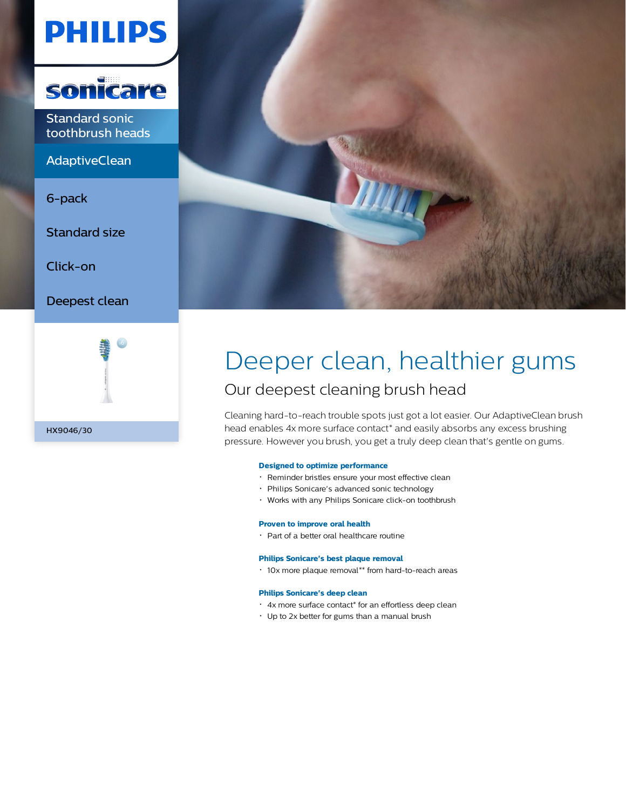# **PHILIPS**



Standard sonic toothbrush heads

**AdaptiveClean** 

6-pack

Standard size

Click-on

Deepest clean





# Deeper clean, healthier gums Our deepest cleaning brush head

Cleaning hard-to-reach trouble spots just got a lot easier. Our AdaptiveClean brush head enables 4x more surface contact\* and easily absorbs any excess brushing pressure. However you brush, you get a truly deep clean that's gentle on gums.

### **Designed to optimize performance**

- Reminder bristles ensure your most effective clean
- Philips Sonicare's advanced sonic technology
- Works with any Philips Sonicare click-on toothbrush

#### **Proven to improve oral health**

Part of a better oral healthcare routine

#### **Philips Sonicare's best plaque removal**

10x more plaque removal\*\* from hard-to-reach areas

# **Philips Sonicare's deep clean**

- 4x more surface contact\* for an effortless deep clean
- Up to 2x better for gums than a manual brush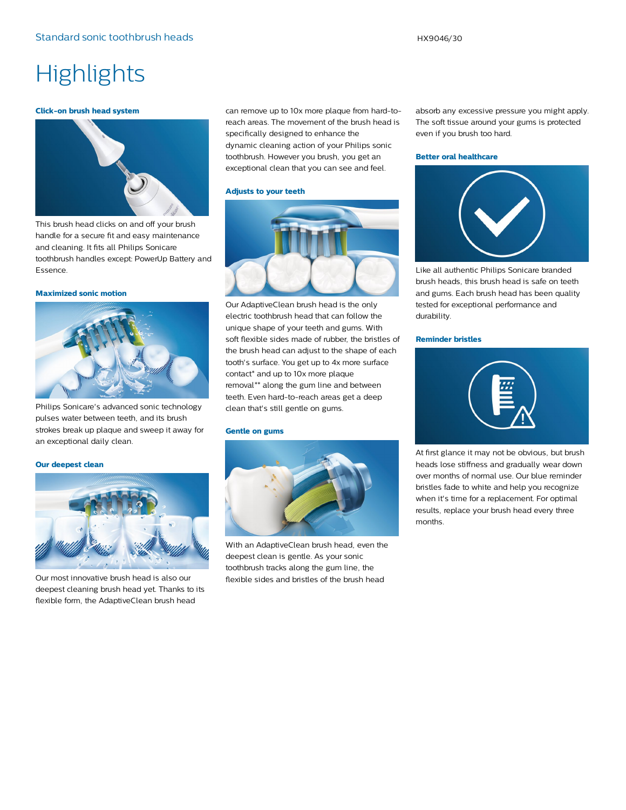# **Highlights**

#### **Click-on brush head system**



This brush head clicks on and off your brush handle for a secure fit and easy maintenance and cleaning. It fits all Philips Sonicare toothbrush handles except: PowerUp Battery and Essence.

#### **Maximized sonic motion**



Philips Sonicare's advanced sonic technology pulses water between teeth, and its brush strokes break up plaque and sweep it away for an exceptional daily clean.

## **Our deepest clean**



Our most innovative brush head is also our deepest cleaning brush head yet. Thanks to its flexible form, the AdaptiveClean brush head

can remove up to 10x more plaque from hard-toreach areas. The movement of the brush head is specifically designed to enhance the dynamic cleaning action of your Philips sonic toothbrush. However you brush, you get an exceptional clean that you can see and feel.

#### **Adjusts to your teeth**



Our AdaptiveClean brush head is the only electric toothbrush head that can follow the unique shape of your teeth and gums. With soft flexible sides made of rubber, the bristles of the brush head can adjust to the shape of each tooth's surface. You get up to 4x more surface contact\* and up to 10x more plaque removal\*\* along the gum line and between teeth. Even hard-to-reach areas get a deep clean that's still gentle on gums.

### **Gentle on gums**



With an AdaptiveClean brush head, even the deepest clean is gentle. As your sonic toothbrush tracks along the gum line, the flexible sides and bristles of the brush head

absorb any excessive pressure you might apply. The soft tissue around your gums is protected even if you brush too hard.

#### **Better oral healthcare**



Like all authentic Philips Sonicare branded brush heads, this brush head is safe on teeth and gums. Each brush head has been quality tested for exceptional performance and durability.

### **Reminder bristles**



At first glance it may not be obvious, but brush heads lose stiffness and gradually wear down over months of normal use. Our blue reminder bristles fade to white and help you recognize when it's time for a replacement. For optimal results, replace your brush head every three months.